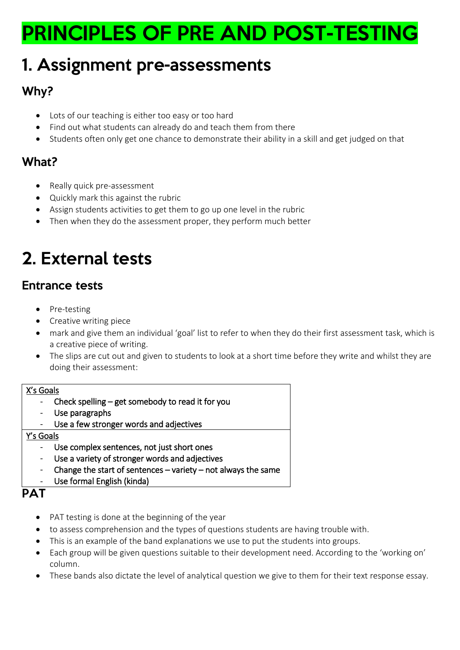# PRINCIPLES OF PRE AND POST-TESTING

## 1. Assignment pre-assessments

## Why?

- Lots of our teaching is either too easy or too hard
- Find out what students can already do and teach them from there
- Students often only get one chance to demonstrate their ability in a skill and get judged on that

## What?

- Really quick pre-assessment
- Quickly mark this against the rubric
- Assign students activities to get them to go up one level in the rubric
- Then when they do the assessment proper, they perform much better

# 2. External tests

### Entrance tests

- Pre-testing
- Creative writing piece
- mark and give them an individual 'goal' list to refer to when they do their first assessment task, which is a creative piece of writing.
- The slips are cut out and given to students to look at a short time before they write and whilst they are doing their assessment:

#### X's Goals

- Check spelling  $-$  get somebody to read it for you
- Use paragraphs
- Use a few stronger words and adjectives

#### Y's Goals

- Use complex sentences, not just short ones
- Use a variety of stronger words and adjectives
- Change the start of sentences variety not always the same
- Use formal English (kinda)

### PAT

- PAT testing is done at the beginning of the year
- to assess comprehension and the types of questions students are having trouble with.
- This is an example of the band explanations we use to put the students into groups.
- Each group will be given questions suitable to their development need. According to the 'working on' column.
- These bands also dictate the level of analytical question we give to them for their text response essay.